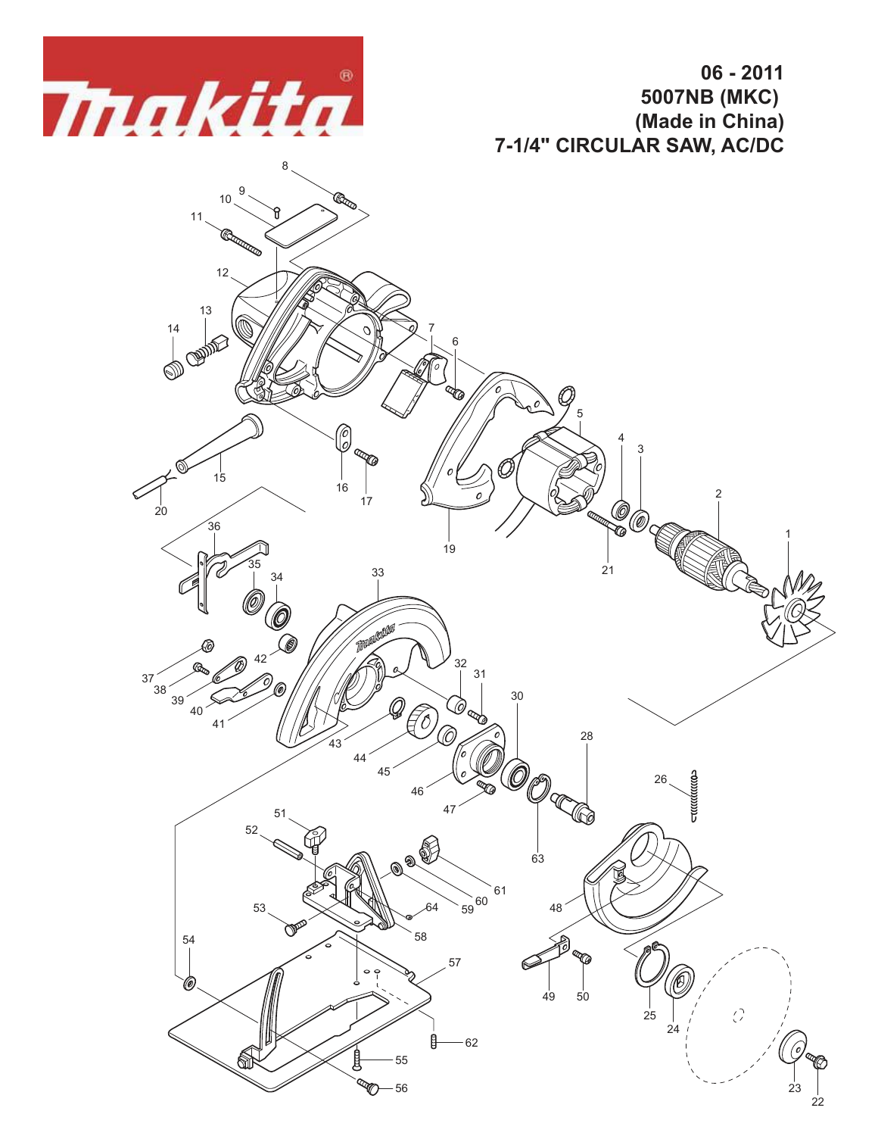

**06 - 2011 5007NB (MKC) (Made in China) 7-1/4" CIRCULAR SAW, AC/DC**

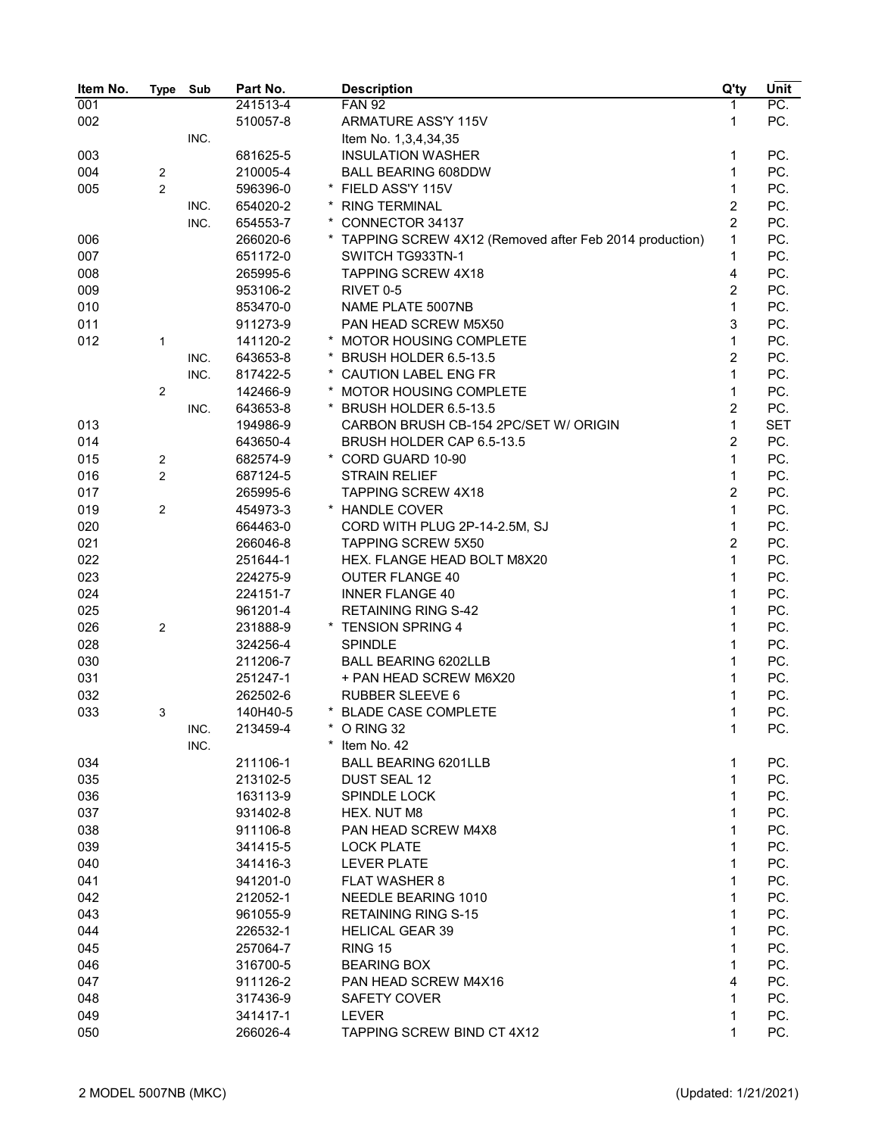| Item No. | Type             | Sub  | Part No. |   | <b>Description</b>                                       | Q'ty           | Unit       |
|----------|------------------|------|----------|---|----------------------------------------------------------|----------------|------------|
| 001      |                  |      | 241513-4 |   | <b>FAN 92</b>                                            | 1              | PC.        |
| 002      |                  |      | 510057-8 |   | ARMATURE ASS'Y 115V                                      | 1              | PC.        |
|          |                  | INC. |          |   | Item No. 1,3,4,34,35                                     |                |            |
| 003      |                  |      | 681625-5 |   | <b>INSULATION WASHER</b>                                 | 1              | PC.        |
| 004      | $\overline{2}$   |      | 210005-4 |   | <b>BALL BEARING 608DDW</b>                               | 1              | PC.        |
| 005      | $\overline{2}$   |      | 596396-0 |   | * FIELD ASS'Y 115V                                       | 1              | PC.        |
|          |                  | INC. | 654020-2 |   | * RING TERMINAL                                          | $\overline{2}$ | PC.        |
|          |                  | INC. | 654553-7 |   | * CONNECTOR 34137                                        | $\overline{2}$ | PC.        |
| 006      |                  |      | 266020-6 |   | * TAPPING SCREW 4X12 (Removed after Feb 2014 production) | 1              | PC.        |
| 007      |                  |      | 651172-0 |   | SWITCH TG933TN-1                                         | 1              | PC.        |
| 008      |                  |      | 265995-6 |   | <b>TAPPING SCREW 4X18</b>                                | 4              | PC.        |
| 009      |                  |      | 953106-2 |   | RIVET 0-5                                                | $\overline{2}$ | PC.        |
| 010      |                  |      | 853470-0 |   | NAME PLATE 5007NB                                        | 1              | PC.        |
| 011      |                  |      | 911273-9 |   | PAN HEAD SCREW M5X50                                     | 3              | PC.        |
| 012      | 1                |      | 141120-2 |   | * MOTOR HOUSING COMPLETE                                 | 1              | PC.        |
|          |                  | INC. | 643653-8 |   | BRUSH HOLDER 6.5-13.5                                    | $\overline{2}$ | PC.        |
|          |                  | INC. | 817422-5 |   | * CAUTION LABEL ENG FR                                   | 1              | PC.        |
|          | $\overline{2}$   |      | 142466-9 | * | MOTOR HOUSING COMPLETE                                   | 1              | PC.        |
|          |                  | INC. | 643653-8 |   | * BRUSH HOLDER 6.5-13.5                                  | $\overline{2}$ | PC.        |
| 013      |                  |      | 194986-9 |   | CARBON BRUSH CB-154 2PC/SET W/ ORIGIN                    | $\mathbf{1}$   | <b>SET</b> |
| 014      |                  |      | 643650-4 |   | BRUSH HOLDER CAP 6.5-13.5                                | $\overline{2}$ | PC.        |
| 015      | $\boldsymbol{2}$ |      | 682574-9 |   | * CORD GUARD 10-90                                       | $\mathbf{1}$   | PC.        |
| 016      | $\mathbf{2}$     |      | 687124-5 |   | <b>STRAIN RELIEF</b>                                     | $\mathbf{1}$   | PC.        |
| 017      |                  |      | 265995-6 |   | <b>TAPPING SCREW 4X18</b>                                | $\overline{2}$ | PC.        |
| 019      | $\mathbf{2}$     |      | 454973-3 |   | * HANDLE COVER                                           | $\mathbf{1}$   | PC.        |
| 020      |                  |      | 664463-0 |   | CORD WITH PLUG 2P-14-2.5M, SJ                            | 1              | PC.        |
| 021      |                  |      | 266046-8 |   | <b>TAPPING SCREW 5X50</b>                                | $\overline{2}$ | PC.        |
| 022      |                  |      | 251644-1 |   | HEX. FLANGE HEAD BOLT M8X20                              | $\mathbf{1}$   | PC.        |
| 023      |                  |      | 224275-9 |   | <b>OUTER FLANGE 40</b>                                   | $\mathbf{1}$   | PC.        |
| 024      |                  |      | 224151-7 |   | <b>INNER FLANGE 40</b>                                   | $\mathbf{1}$   | PC.        |
| 025      |                  |      | 961201-4 |   | <b>RETAINING RING S-42</b>                               | $\mathbf{1}$   | PC.        |
| 026      | $\mathbf{2}$     |      | 231888-9 |   | * TENSION SPRING 4                                       | $\mathbf{1}$   | PC.        |
| 028      |                  |      | 324256-4 |   | <b>SPINDLE</b>                                           | $\mathbf{1}$   | PC.        |
| 030      |                  |      | 211206-7 |   | <b>BALL BEARING 6202LLB</b>                              | $\mathbf{1}$   | PC.        |
| 031      |                  |      | 251247-1 |   | + PAN HEAD SCREW M6X20                                   | $\mathbf{1}$   | PC.        |
| 032      |                  |      | 262502-6 |   | <b>RUBBER SLEEVE 6</b>                                   | 1              | PC.        |
| 033      | 3                |      | 140H40-5 |   | * BLADE CASE COMPLETE                                    | 1              | PC.        |
|          |                  | INC. | 213459-4 |   | O RING 32                                                | 1              | PC.        |
|          |                  | INC. |          | * | Item No. 42                                              |                |            |
| 034      |                  |      | 211106-1 |   | <b>BALL BEARING 6201LLB</b>                              | 1              | PC.        |
| 035      |                  |      | 213102-5 |   | <b>DUST SEAL 12</b>                                      | 1              | PC.        |
| 036      |                  |      | 163113-9 |   | SPINDLE LOCK                                             | 1              | PC.        |
| 037      |                  |      | 931402-8 |   | HEX. NUT M8                                              | 1              | PC.        |
| 038      |                  |      | 911106-8 |   | PAN HEAD SCREW M4X8                                      | 1              | PC.        |
| 039      |                  |      | 341415-5 |   | <b>LOCK PLATE</b>                                        | 1              | PC.        |
| 040      |                  |      | 341416-3 |   | <b>LEVER PLATE</b>                                       | 1              | PC.        |
| 041      |                  |      | 941201-0 |   | <b>FLAT WASHER 8</b>                                     | 1              | PC.        |
| 042      |                  |      | 212052-1 |   | <b>NEEDLE BEARING 1010</b>                               | 1              | PC.        |
| 043      |                  |      | 961055-9 |   | <b>RETAINING RING S-15</b>                               | 1              | PC.        |
| 044      |                  |      | 226532-1 |   | <b>HELICAL GEAR 39</b>                                   | 1              | PC.        |
| 045      |                  |      | 257064-7 |   | <b>RING 15</b>                                           | 1              | PC.        |
| 046      |                  |      | 316700-5 |   | <b>BEARING BOX</b>                                       | 1              | PC.        |
| 047      |                  |      | 911126-2 |   | PAN HEAD SCREW M4X16                                     | 4              | PC.        |
| 048      |                  |      | 317436-9 |   | <b>SAFETY COVER</b>                                      | $\mathbf{1}$   | PC.        |
| 049      |                  |      | 341417-1 |   | <b>LEVER</b>                                             | 1              | PC.        |
| 050      |                  |      | 266026-4 |   | TAPPING SCREW BIND CT 4X12                               | 1              | PC.        |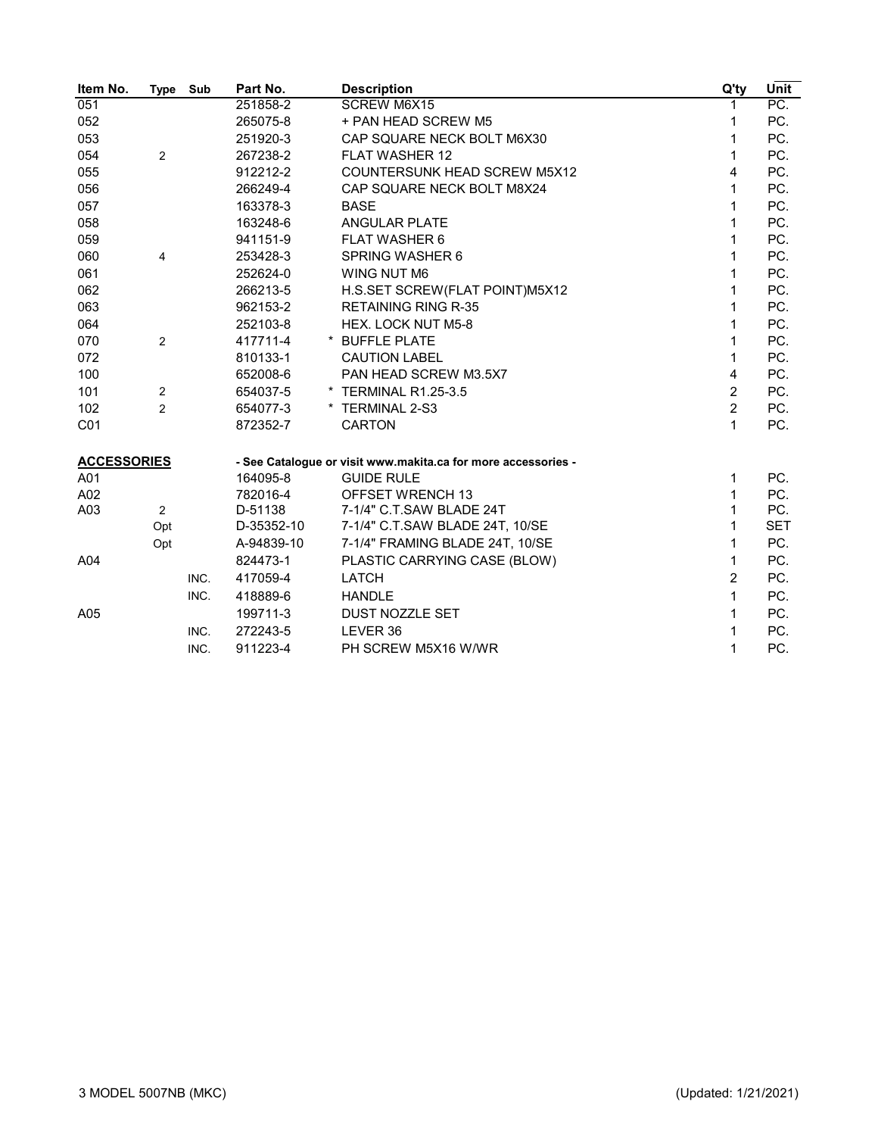| Item No.           | Type           | Sub  | Part No.   | <b>Description</b>                                            | Q'ty           | Unit       |
|--------------------|----------------|------|------------|---------------------------------------------------------------|----------------|------------|
| 051                |                |      | 251858-2   | <b>SCREW M6X15</b>                                            |                | PC.        |
| 052                |                |      | 265075-8   | + PAN HEAD SCREW M5                                           | 1              | PC.        |
| 053                |                |      | 251920-3   | CAP SQUARE NECK BOLT M6X30                                    | 1              | PC.        |
| 054                | $\overline{2}$ |      | 267238-2   | <b>FLAT WASHER 12</b>                                         | 1              | PC.        |
| 055                |                |      | 912212-2   | COUNTERSUNK HEAD SCREW M5X12                                  | 4              | PC.        |
| 056                |                |      | 266249-4   | CAP SQUARE NECK BOLT M8X24                                    | 1              | PC.        |
| 057                |                |      | 163378-3   | <b>BASE</b>                                                   | 1              | PC.        |
| 058                |                |      | 163248-6   | <b>ANGULAR PLATE</b>                                          | 1              | PC.        |
| 059                |                |      | 941151-9   | FLAT WASHER 6                                                 | 1              | PC.        |
| 060                | 4              |      | 253428-3   | SPRING WASHER 6                                               | 1              | PC.        |
| 061                |                |      | 252624-0   | WING NUT M6                                                   | 1              | PC.        |
| 062                |                |      | 266213-5   | H.S.SET SCREW(FLAT POINT)M5X12                                | 1              | PC.        |
| 063                |                |      | 962153-2   | <b>RETAINING RING R-35</b>                                    | 1              | PC.        |
| 064                |                |      | 252103-8   | HEX. LOCK NUT M5-8                                            | 1              | PC.        |
| 070                | $\overline{2}$ |      | 417711-4   | * BUFFLE PLATE                                                | 1              | PC.        |
| 072                |                |      | 810133-1   | <b>CAUTION LABEL</b>                                          | 1              | PC.        |
| 100                |                |      | 652008-6   | PAN HEAD SCREW M3.5X7                                         | $\overline{4}$ | PC.        |
| 101                | 2              |      | 654037-5   | * TERMINAL R1.25-3.5                                          | $\overline{2}$ | PC.        |
| 102                | $\overline{2}$ |      | 654077-3   | * TERMINAL 2-S3                                               | $\overline{2}$ | PC.        |
| C <sub>01</sub>    |                |      | 872352-7   | <b>CARTON</b>                                                 | 1              | PC.        |
| <b>ACCESSORIES</b> |                |      |            | - See Catalogue or visit www.makita.ca for more accessories - |                |            |
| A01                |                |      | 164095-8   | <b>GUIDE RULE</b>                                             | 1              | PC.        |
| A02                |                |      | 782016-4   | OFFSET WRENCH 13                                              | 1              | PC.        |
| A03                | $\overline{c}$ |      | D-51138    | 7-1/4" C.T.SAW BLADE 24T                                      | 1              | PC.        |
|                    | Opt            |      | D-35352-10 | 7-1/4" C.T.SAW BLADE 24T, 10/SE                               | 1              | <b>SET</b> |
|                    | Opt            |      | A-94839-10 | 7-1/4" FRAMING BLADE 24T, 10/SE                               | 1              | PC.        |
| A04                |                |      | 824473-1   | PLASTIC CARRYING CASE (BLOW)                                  | 1              | PC.        |
|                    |                | INC. | 417059-4   | <b>LATCH</b>                                                  | $\overline{2}$ | PC.        |
|                    |                | INC. | 418889-6   | <b>HANDLE</b>                                                 | 1              | PC.        |
| A05                |                |      | 199711-3   | DUST NOZZLE SET                                               | 1              | PC.        |
|                    |                | INC. | 272243-5   | LEVER 36                                                      | 1              | PC.        |
|                    |                | INC. | 911223-4   | PH SCREW M5X16 W/WR                                           | 1              | PC.        |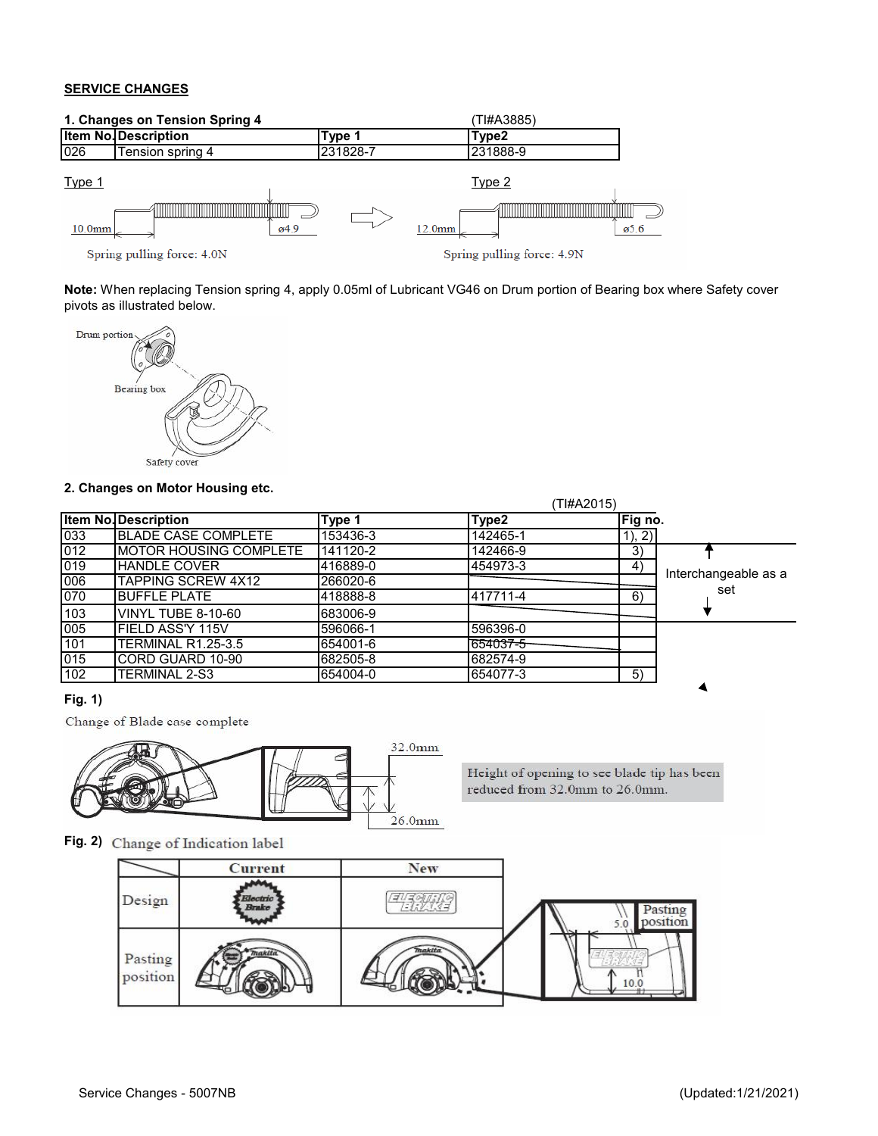#### **SERVICE CHANGES**



**Note:** When replacing Tension spring 4, apply 0.05ml of Lubricant VG46 on Drum portion of Bearing box where Safety cover pivots as illustrated below.



#### **2. Changes on Motor Housing etc.**

|     |                             |          |          | (TI#A2015) |                      |
|-----|-----------------------------|----------|----------|------------|----------------------|
|     | <b>Item No. Description</b> | Type 1   | Type2    | Fig no.    |                      |
| 033 | <b>IBLADE CASE COMPLETE</b> | 153436-3 | 142465-1 | 1), 2)     |                      |
| 012 | IMOTOR HOUSING COMPLETE     | 141120-2 | 142466-9 | 3)         |                      |
| 019 | <b>HANDLE COVER</b>         | 416889-0 | 454973-3 | 4)         |                      |
| 006 | TAPPING SCREW 4X12          | 266020-6 |          |            | Interchangeable as a |
| 070 | <b>BUFFLE PLATE</b>         | 418888-8 | 417711-4 | 6)         | set                  |
| 103 | VINYL TUBE 8-10-60          | 683006-9 |          |            |                      |
| 005 | IFIELD ASS'Y 115V           | 596066-1 | 596396-0 |            |                      |
| 101 | TERMINAL R1.25-3.5          | 654001-6 | 654037-5 |            |                      |
| 015 | CORD GUARD 10-90            | 682505-8 | 682574-9 |            |                      |
| 102 | TERMINAL 2-S3               | 654004-0 | 654077-3 | 5)         |                      |

## **Fig. 1)**

Change of Blade case complete



Height of opening to see blade tip has been reduced from 32.0mm to 26.0mm.